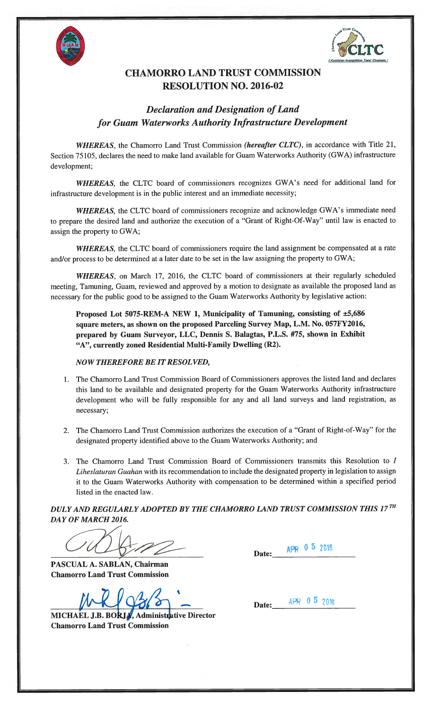



## CHAMORRO LAND TRUST COMMISSION RESOLUTION NO. 2016-02

## **Declaration and Designation of Land** for Guam Waterworks Authority Infrastructure Development

WHEREAS, the Chamorro Land Trust Commission (hereafter CLTC), in accordance with Title 21, Section 75105, declares the need to make land available for Guam Waterworks Authority (GWA) infrastructure development;

WHEREAS, the CLTC board of commissioners recognizes GWA's need for additional land for infrastructure development is in the public interest and an immediate necessity;

WHEREAS, the CLTC board of commissioners recognize and acknowledge GWA's immediate need to prepare the desired land and authorize the execution of a "Grant of Right-Of-Way" until law is enacted to assign the property to GWA;

WHEREAS, the CLTC board of commissioners require the land assignment be compensated at a rate and/or process to be determined at a later date to be set in the law assigning the property to GWA;

WHEREAS, on March 17, 2016, the CLTC board of commissioners at their regularly scheduled meeting, Tamuning, Guam, reviewed and approved by a motion to designate as available the proposed land as necessary for the public good to be assigned to the Guam Waterworks Authority by legislative action:

Proposed Lot 5075-REM-A NEW 1, Municipality of Tamuning, consisting of ±5,686 square meters, as shown on the proposed Parceling Survey Map, L.M. No. 057FY2016, prepared by Guam Surveyor, LLC, Dennis S. Balagtas, P.L.S. #75, shown in Exhibit "A", currently zoned Residential Multi-Family Dwelling (R2).

## NOW THEREFORE BE IT RESOLVED,

- 1. The Chamorro Land Trust Commission Board of Commissioners approves the listed land and declares this land to be available and designated property for the Guam Waterworks Authority infrastructure development who will be fully responsible for any and all land surveys and land registration, as necessary;
- 2. The Chamorro Land Trust Commission authorizes the execution of a "Grant of Right-of-Way" for the designated property identified above to the Guam Waterworks Authority; and
- 3. The Chamorro Land Trust Commission Board of Commissioners transmits this Resolution to I Liheslaturan Guahan with its recommendation to include the designated property in legislation to assign it to the Guam Waterworks Authority with compensation to be determined within a specified period listed in the enacted law.

DULY AND REGULARLY ADOPTED BY THE CHAMORRO LAND TRUST COMMISSION THIS 17TH DAY OF MARCH 2016.

PASCUAL A. SABLAN, Chairman Chamorro Land Trust Commission

MRI 9365

Chamorro Land Trust Commission

Date:  $APR$  0 5 2016

Date:  $APR$  0 5 2016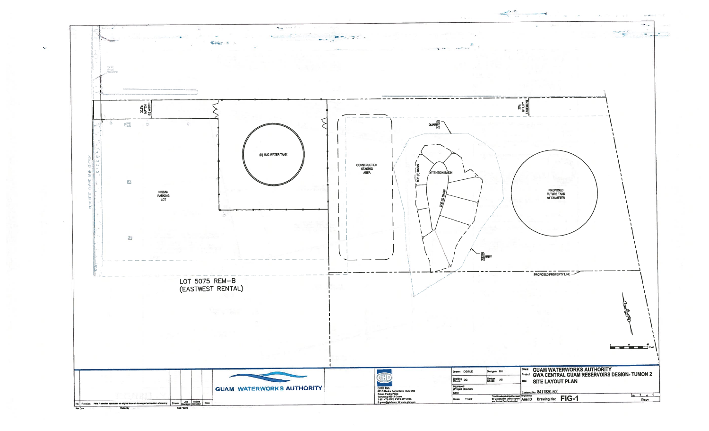